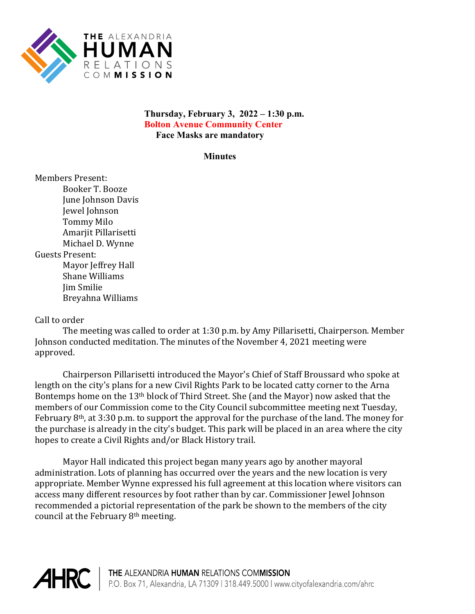

## **Thursday, February 3, 2022 – 1:30 p.m. Bolton Avenue Community Center Face Masks are mandatory**

**Minutes**

Members Present: Booker T. Booze June Johnson Davis Jewel Johnson Tommy Milo Amarjit Pillarisetti Michael D. Wynne Guests Present: Mayor Jeffrey Hall Shane Williams Jim Smilie Breyahna Williams

## Call to order

The meeting was called to order at 1:30 p.m. by Amy Pillarisetti, Chairperson. Member Johnson conducted meditation. The minutes of the November 4, 2021 meeting were approved.

Chairperson Pillarisetti introduced the Mayor's Chief of Staff Broussard who spoke at length on the city's plans for a new Civil Rights Park to be located catty corner to the Arna Bontemps home on the 13th block of Third Street. She (and the Mayor) now asked that the members of our Commission come to the City Council subcommittee meeting next Tuesday, February 8th, at 3:30 p.m. to support the approval for the purchase of the land. The money for the purchase is already in the city's budget. This park will be placed in an area where the city hopes to create a Civil Rights and/or Black History trail.

Mayor Hall indicated this project began many years ago by another mayoral administration. Lots of planning has occurred over the years and the new location is very appropriate. Member Wynne expressed his full agreement at this location where visitors can access many different resources by foot rather than by car. Commissioner Jewel Johnson recommended a pictorial representation of the park be shown to the members of the city council at the February 8th meeting.